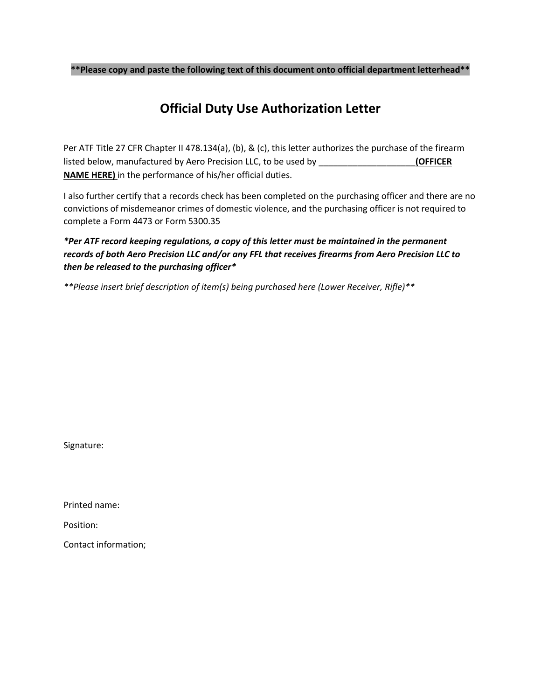**\*\*Please copy and paste the following text of this document onto official department letterhead\*\***

## **Official Duty Use Authorization Letter**

Per ATF Title 27 CFR Chapter II 478.134(a), (b), & (c), this letter authorizes the purchase of the firearm listed below, manufactured by Aero Precision LLC, to be used by \_\_\_\_\_\_\_\_\_\_\_\_\_\_\_\_\_\_\_\_**(OFFICER NAME HERE)** in the performance of his/her official duties.

I also further certify that a records check has been completed on the purchasing officer and there are no convictions of misdemeanor crimes of domestic violence, and the purchasing officer is not required to complete a Form 4473 or Form 5300.35

## *\*Per ATF record keeping regulations, a copy of this letter must be maintained in the permanent records of both Aero Precision LLC and/or any FFL that receives firearms from Aero Precision LLC to then be released to the purchasing officer\**

*\*\*Please insert brief description of item(s) being purchased here (Lower Receiver, Rifle)\*\**

Signature:

Printed name:

Position:

Contact information;